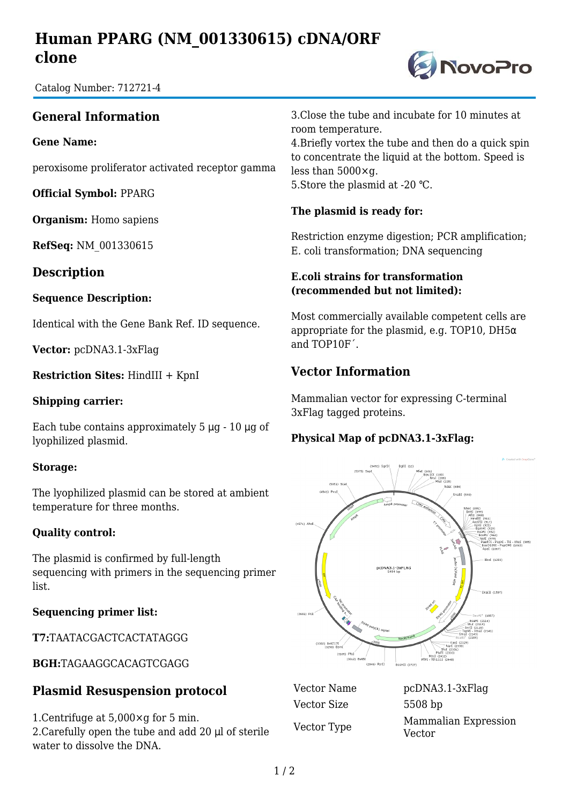# **Human PPARG (NM\_001330615) cDNA/ORF clone**



Catalog Number: 712721-4

## **General Information**

#### **Gene Name:**

peroxisome proliferator activated receptor gamma

**Official Symbol:** PPARG

**Organism:** Homo sapiens

**RefSeq:** NM\_001330615

**Description**

#### **Sequence Description:**

Identical with the Gene Bank Ref. ID sequence.

**Vector:** pcDNA3.1-3xFlag

**Restriction Sites:** HindIII + KpnI

#### **Shipping carrier:**

Each tube contains approximately 5 μg - 10 μg of lyophilized plasmid.

#### **Storage:**

The lyophilized plasmid can be stored at ambient temperature for three months.

#### **Quality control:**

The plasmid is confirmed by full-length sequencing with primers in the sequencing primer list.

#### **Sequencing primer list:**

**T7:**TAATACGACTCACTATAGGG

**BGH:**TAGAAGGCACAGTCGAGG

## **Plasmid Resuspension protocol**

1.Centrifuge at 5,000×g for 5 min. 2.Carefully open the tube and add 20 μl of sterile water to dissolve the DNA.

3.Close the tube and incubate for 10 minutes at room temperature.

4.Briefly vortex the tube and then do a quick spin to concentrate the liquid at the bottom. Speed is less than 5000×g. 5.Store the plasmid at -20 ℃.

#### **The plasmid is ready for:**

Restriction enzyme digestion; PCR amplification; E. coli transformation; DNA sequencing

#### **E.coli strains for transformation (recommended but not limited):**

Most commercially available competent cells are appropriate for the plasmid, e.g. TOP10, DH5α and TOP10F´.

### **Vector Information**

Mammalian vector for expressing C-terminal 3xFlag tagged proteins.

### **Physical Map of pcDNA3.1-3xFlag:**



Vector Size 5508 bp

Vector Name pcDNA3.1-3xFlag Vector Type Mammalian Expression Vector